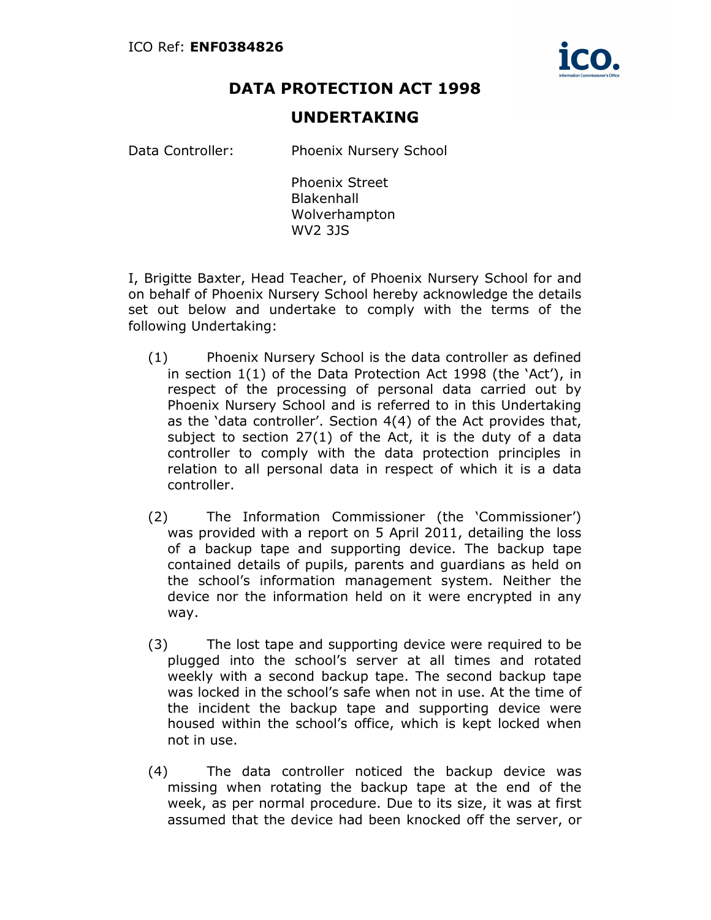

## DATA PROTECTION ACT 1998

## UNDERTAKING

Data Controller: Phoenix Nursery School

Phoenix Street **Blakenhall** Wolverhampton WV2 3JS

I, Brigitte Baxter, Head Teacher, of Phoenix Nursery School for and on behalf of Phoenix Nursery School hereby acknowledge the details set out below and undertake to comply with the terms of the following Undertaking:

- (1) Phoenix Nursery School is the data controller as defined in section 1(1) of the Data Protection Act 1998 (the 'Act'), in respect of the processing of personal data carried out by Phoenix Nursery School and is referred to in this Undertaking as the 'data controller'. Section 4(4) of the Act provides that, subject to section 27(1) of the Act, it is the duty of a data controller to comply with the data protection principles in relation to all personal data in respect of which it is a data controller.
- (2) The Information Commissioner (the 'Commissioner') was provided with a report on 5 April 2011, detailing the loss of a backup tape and supporting device. The backup tape contained details of pupils, parents and guardians as held on the school's information management system. Neither the device nor the information held on it were encrypted in any way.
- (3) The lost tape and supporting device were required to be plugged into the school's server at all times and rotated weekly with a second backup tape. The second backup tape was locked in the school's safe when not in use. At the time of the incident the backup tape and supporting device were housed within the school's office, which is kept locked when not in use.
- (4) The data controller noticed the backup device was missing when rotating the backup tape at the end of the week, as per normal procedure. Due to its size, it was at first assumed that the device had been knocked off the server, or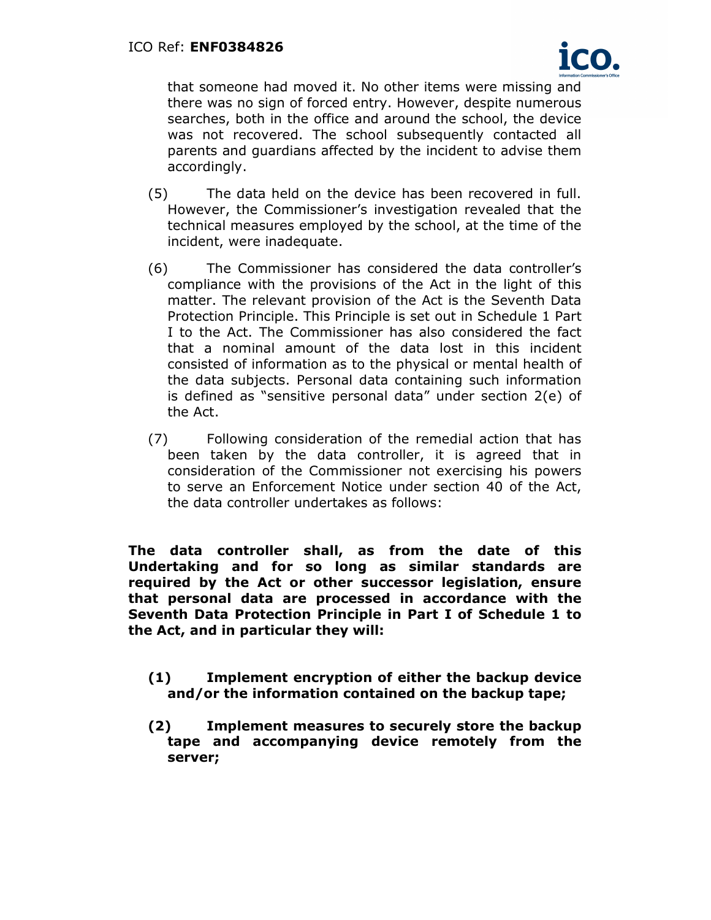

that someone had moved it. No other items were missing and there was no sign of forced entry. However, despite numerous searches, both in the office and around the school, the device was not recovered. The school subsequently contacted all parents and guardians affected by the incident to advise them accordingly.

- (5) The data held on the device has been recovered in full. However, the Commissioner's investigation revealed that the technical measures employed by the school, at the time of the incident, were inadequate.
- (6) The Commissioner has considered the data controller's compliance with the provisions of the Act in the light of this matter. The relevant provision of the Act is the Seventh Data Protection Principle. This Principle is set out in Schedule 1 Part I to the Act. The Commissioner has also considered the fact that a nominal amount of the data lost in this incident consisted of information as to the physical or mental health of the data subjects. Personal data containing such information is defined as "sensitive personal data" under section 2(e) of the Act.
- (7) Following consideration of the remedial action that has been taken by the data controller, it is agreed that in consideration of the Commissioner not exercising his powers to serve an Enforcement Notice under section 40 of the Act, the data controller undertakes as follows:

The data controller shall, as from the date of this Undertaking and for so long as similar standards are required by the Act or other successor legislation, ensure that personal data are processed in accordance with the Seventh Data Protection Principle in Part I of Schedule 1 to the Act, and in particular they will:

- (1) Implement encryption of either the backup device and/or the information contained on the backup tape;
- (2) Implement measures to securely store the backup tape and accompanying device remotely from the server;